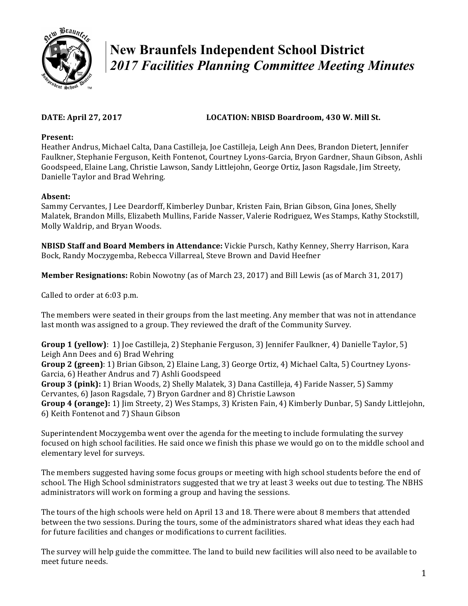

# **New Braunfels Independent School District**  *2017 Facilities Planning Committee Meeting Minutes*

## DATE: April 27, 2017 **LOCATION: NBISD Boardroom, 430 W. Mill St.**

#### **Present:**

Heather Andrus, Michael Calta, Dana Castilleja, Joe Castilleja, Leigh Ann Dees, Brandon Dietert, Jennifer Faulkner, Stephanie Ferguson, Keith Fontenot, Courtney Lyons-Garcia, Bryon Gardner, Shaun Gibson, Ashli Goodspeed, Elaine Lang, Christie Lawson, Sandy Littlejohn, George Ortiz, Jason Ragsdale, Jim Streety, Danielle Taylor and Brad Wehring.

### **Absent:**

Sammy Cervantes, J Lee Deardorff, Kimberley Dunbar, Kristen Fain, Brian Gibson, Gina Jones, Shelly Malatek, Brandon Mills, Elizabeth Mullins, Faride Nasser, Valerie Rodriguez, Wes Stamps, Kathy Stockstill, Molly Waldrip, and Bryan Woods.

**NBISD Staff and Board Members in Attendance:** Vickie Pursch, Kathy Kenney, Sherry Harrison, Kara Bock, Randy Moczygemba, Rebecca Villarreal, Steve Brown and David Heefner

**Member Resignations:** Robin Nowotny (as of March 23, 2017) and Bill Lewis (as of March 31, 2017)

Called to order at 6:03 p.m.

The members were seated in their groups from the last meeting. Any member that was not in attendance last month was assigned to a group. They reviewed the draft of the Community Survey.

**Group 1 (yellow)**: 1) Joe Castilleja, 2) Stephanie Ferguson, 3) Jennifer Faulkner, 4) Danielle Taylor, 5) Leigh Ann Dees and 6) Brad Wehring

**Group 2 (green)**: 1) Brian Gibson, 2) Elaine Lang, 3) George Ortiz, 4) Michael Calta, 5) Courtney Lyons-Garcia, 6) Heather Andrus and 7) Ashli Goodspeed

Group 3 (pink): 1) Brian Woods, 2) Shelly Malatek, 3) Dana Castilleja, 4) Faride Nasser, 5) Sammy Cervantes, 6) Jason Ragsdale, 7) Bryon Gardner and 8) Christie Lawson

**Group 4 (orange):** 1) Jim Streety, 2) Wes Stamps, 3) Kristen Fain, 4) Kimberly Dunbar, 5) Sandy Littlejohn, 6) Keith Fontenot and 7) Shaun Gibson

Superintendent Moczygemba went over the agenda for the meeting to include formulating the survey focused on high school facilities. He said once we finish this phase we would go on to the middle school and elementary level for surveys.

The members suggested having some focus groups or meeting with high school students before the end of school. The High School sdministrators suggested that we try at least 3 weeks out due to testing. The NBHS administrators will work on forming a group and having the sessions.

The tours of the high schools were held on April 13 and 18. There were about 8 members that attended between the two sessions. During the tours, some of the administrators shared what ideas they each had for future facilities and changes or modifications to current facilities.

The survey will help guide the committee. The land to build new facilities will also need to be available to meet future needs.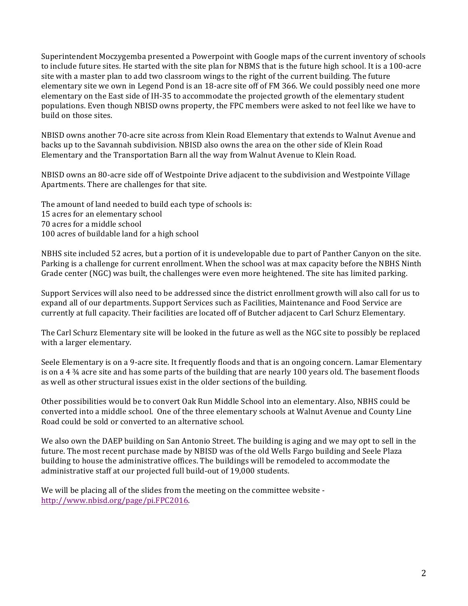Superintendent Moczygemba presented a Powerpoint with Google maps of the current inventory of schools to include future sites. He started with the site plan for NBMS that is the future high school. It is a 100-acre site with a master plan to add two classroom wings to the right of the current building. The future elementary site we own in Legend Pond is an 18-acre site off of FM 366. We could possibly need one more elementary on the East side of IH-35 to accommodate the projected growth of the elementary student populations. Even though NBISD owns property, the FPC members were asked to not feel like we have to build on those sites.

NBISD owns another 70-acre site across from Klein Road Elementary that extends to Walnut Avenue and backs up to the Savannah subdivision. NBISD also owns the area on the other side of Klein Road Elementary and the Transportation Barn all the way from Walnut Avenue to Klein Road.

NBISD owns an 80-acre side off of Westpointe Drive adjacent to the subdivision and Westpointe Village Apartments. There are challenges for that site.

The amount of land needed to build each type of schools is: 15 acres for an elementary school 70 acres for a middle school 100 acres of buildable land for a high school

NBHS site included 52 acres, but a portion of it is undevelopable due to part of Panther Canyon on the site. Parking is a challenge for current enrollment. When the school was at max capacity before the NBHS Ninth Grade center (NGC) was built, the challenges were even more heightened. The site has limited parking.

Support Services will also need to be addressed since the district enrollment growth will also call for us to expand all of our departments. Support Services such as Facilities, Maintenance and Food Service are currently at full capacity. Their facilities are located off of Butcher adjacent to Carl Schurz Elementary.

The Carl Schurz Elementary site will be looked in the future as well as the NGC site to possibly be replaced with a larger elementary.

Seele Elementary is on a 9-acre site. It frequently floods and that is an ongoing concern. Lamar Elementary is on a  $4\frac{3}{4}$  acre site and has some parts of the building that are nearly 100 years old. The basement floods as well as other structural issues exist in the older sections of the building.

Other possibilities would be to convert Oak Run Middle School into an elementary. Also, NBHS could be converted into a middle school. One of the three elementary schools at Walnut Avenue and County Line Road could be sold or converted to an alternative school.

We also own the DAEP building on San Antonio Street. The building is aging and we may opt to sell in the future. The most recent purchase made by NBISD was of the old Wells Fargo building and Seele Plaza building to house the administrative offices. The buildings will be remodeled to accommodate the administrative staff at our projected full build-out of 19,000 students.

We will be placing all of the slides from the meeting on the committee website http://www.nbisd.org/page/pi.FPC2016.